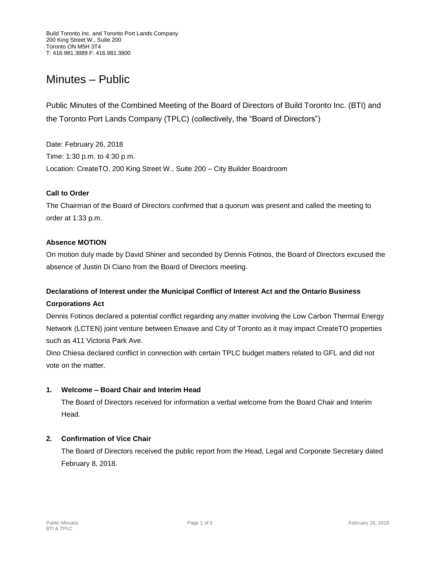# Minutes – Public

Public Minutes of the Combined Meeting of the Board of Directors of Build Toronto Inc. (BTI) and the Toronto Port Lands Company (TPLC) (collectively, the "Board of Directors")

Date: February 26, 2018 Time: 1:30 p.m. to 4:30 p.m. Location: CreateTO, 200 King Street W., Suite 200 – City Builder Boardroom

## **Call to Order**

The Chairman of the Board of Directors confirmed that a quorum was present and called the meeting to order at 1:33 p.m.

## **Absence MOTION**

On motion duly made by David Shiner and seconded by Dennis Fotinos, the Board of Directors excused the absence of Justin Di Ciano from the Board of Directors meeting.

# **Declarations of Interest under the Municipal Conflict of Interest Act and the Ontario Business**

## **Corporations Act**

Dennis Fotinos declared a potential conflict regarding any matter involving the Low Carbon Thermal Energy Network (LCTEN) joint venture between Enwave and City of Toronto as it may impact CreateTO properties such as 411 Victoria Park Ave.

Dino Chiesa declared conflict in connection with certain TPLC budget matters related to GFL and did not vote on the matter.

## **1. Welcome – Board Chair and Interim Head**

The Board of Directors received for information a verbal welcome from the Board Chair and Interim Head.

## **2. Confirmation of Vice Chair**

The Board of Directors received the public report from the Head, Legal and Corporate Secretary dated February 8, 2018.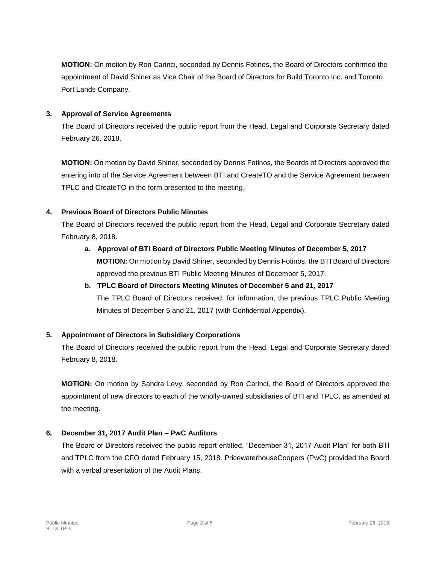**MOTION:** On motion by Ron Carinci, seconded by Dennis Fotinos, the Board of Directors confirmed the appointment of David Shiner as Vice Chair of the Board of Directors for Build Toronto Inc. and Toronto Port Lands Company.

## **3. Approval of Service Agreements**

The Board of Directors received the public report from the Head, Legal and Corporate Secretary dated February 26, 2018.

**MOTION:** On motion by David Shiner, seconded by Dennis Fotinos, the Boards of Directors approved the entering into of the Service Agreement between BTI and CreateTO and the Service Agreement between TPLC and CreateTO in the form presented to the meeting.

## **4. Previous Board of Directors Public Minutes**

The Board of Directors received the public report from the Head, Legal and Corporate Secretary dated February 8, 2018.

- **a. Approval of BTI Board of Directors Public Meeting Minutes of December 5, 2017 MOTION:** On motion by David Shiner, seconded by Dennis Fotinos, the BTI Board of Directors approved the previous BTI Public Meeting Minutes of December 5, 2017.
- **b. TPLC Board of Directors Meeting Minutes of December 5 and 21, 2017** The TPLC Board of Directors received, for information, the previous TPLC Public Meeting Minutes of December 5 and 21, 2017 (with Confidential Appendix).

# **5. Appointment of Directors in Subsidiary Corporations**

The Board of Directors received the public report from the Head, Legal and Corporate Secretary dated February 8, 2018.

**MOTION:** On motion by Sandra Levy, seconded by Ron Carinci, the Board of Directors approved the appointment of new directors to each of the wholly-owned subsidiaries of BTI and TPLC, as amended at the meeting.

## **6. December 31, 2017 Audit Plan – PwC Auditors**

The Board of Directors received the public report entitled, "December 31, 2017 Audit Plan" for both BTI and TPLC from the CFO dated February 15, 2018. PricewaterhouseCoopers (PwC) provided the Board with a verbal presentation of the Audit Plans.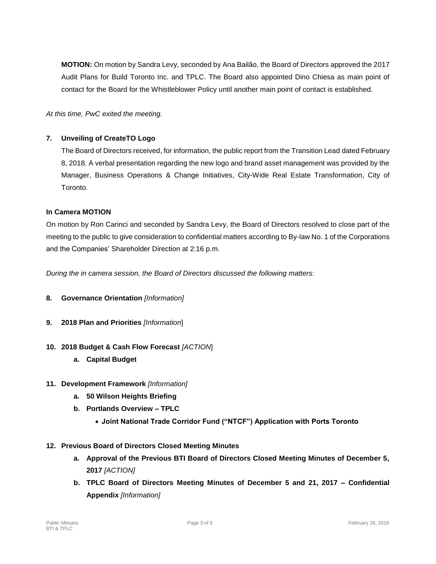**MOTION:** On motion by Sandra Levy, seconded by Ana Bailão, the Board of Directors approved the 2017 Audit Plans for Build Toronto Inc. and TPLC. The Board also appointed Dino Chiesa as main point of contact for the Board for the Whistleblower Policy until another main point of contact is established.

*At this time, PwC exited the meeting.*

## **7. Unveiling of CreateTO Logo**

The Board of Directors received, for information, the public report from the Transition Lead dated February 8, 2018. A verbal presentation regarding the new logo and brand asset management was provided by the Manager, Business Operations & Change Initiatives, City-Wide Real Estate Transformation, City of Toronto.

## **In Camera MOTION**

On motion by Ron Carinci and seconded by Sandra Levy, the Board of Directors resolved to close part of the meeting to the public to give consideration to confidential matters according to By-law No. 1 of the Corporations and the Companies' Shareholder Direction at 2:16 p.m.

*During the in camera session, the Board of Directors discussed the following matters:*

- **8. Governance Orientation** *[Information]*
- **9. 2018 Plan and Priorities** *[Information*]
- **10. 2018 Budget & Cash Flow Forecast** *[ACTION*]
	- **a. Capital Budget**
- **11. Development Framework** *[Information]*
	- **a. 50 Wilson Heights Briefing**
	- **b. Portlands Overview – TPLC** 
		- **Joint National Trade Corridor Fund ("NTCF") Application with Ports Toronto**
- **12. Previous Board of Directors Closed Meeting Minutes**
	- **a. Approval of the Previous BTI Board of Directors Closed Meeting Minutes of December 5, 2017** *[ACTION]*
	- **b. TPLC Board of Directors Meeting Minutes of December 5 and 21, 2017 – Confidential Appendix** *[Information]*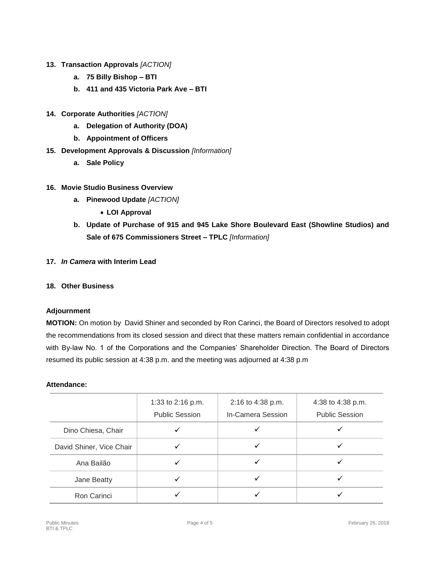- **13. Transaction Approvals** *[ACTION]*
	- **a. 75 Billy Bishop – BTI**
	- **b. 411 and 435 Victoria Park Ave – BTI**
- **14. Corporate Authorities** *[ACTION]* 
	- **a. Delegation of Authority (DOA)**
	- **b. Appointment of Officers**
- **15. Development Approvals & Discussion** *[Information]* 
	- **a. Sale Policy**

### **16. Movie Studio Business Overview**

- **a. Pinewood Update** *[ACTION]*
	- **LOI Approval**
- **b. Update of Purchase of 915 and 945 Lake Shore Boulevard East (Showline Studios) and Sale of 675 Commissioners Street – TPLC** *[Information]*
- **17.** *In Camera* **with Interim Lead**

### **18. Other Business**

## **Adjournment**

**MOTION:** On motion by David Shiner and seconded by Ron Carinci, the Board of Directors resolved to adopt the recommendations from its closed session and direct that these matters remain confidential in accordance with By-law No. 1 of the Corporations and the Companies' Shareholder Direction. The Board of Directors resumed its public session at 4:38 p.m. and the meeting was adjourned at 4:38 p.m

#### **Attendance:**

|                          | 1:33 to 2:16 p.m.<br><b>Public Session</b> | 2:16 to 4:38 p.m.<br>In-Camera Session | 4:38 to 4:38 p.m.<br><b>Public Session</b> |
|--------------------------|--------------------------------------------|----------------------------------------|--------------------------------------------|
| Dino Chiesa, Chair       |                                            |                                        |                                            |
| David Shiner, Vice Chair |                                            |                                        |                                            |
| Ana Bailão               |                                            |                                        |                                            |
| Jane Beatty              |                                            |                                        |                                            |
| Ron Carinci              |                                            |                                        |                                            |